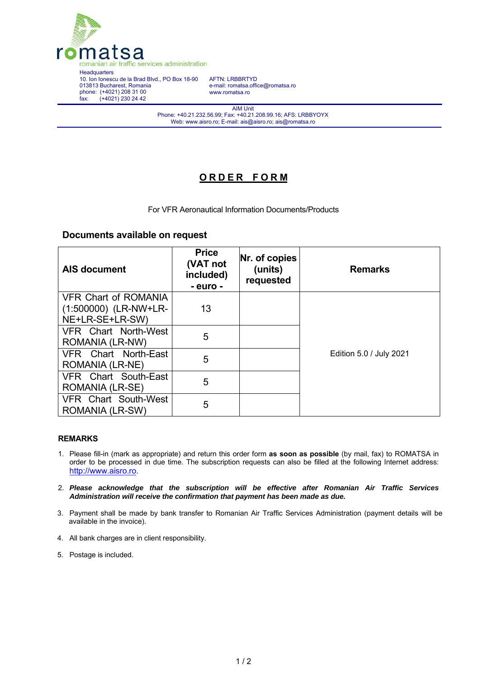

AFTN: LRBBRTYD e-mail: romatsa.office@romatsa.ro www.romatsa.ro

AIM Unit Phone: +40.21.232.56.99; Fax: +40.21.208.99.16; AFS: LRBBYOYX Web: www.aisro.ro; E-mail: ais@aisro.ro; ais@romatsa.ro

## **O R D E R F O R M**

For VFR Aeronautical Information Documents/Products

## **Documents available on request**

| <b>AIS document</b>                            | <b>Price</b><br>(VAT not<br>included)<br>- euro - | Nr. of copies<br>(units)<br>requested | <b>Remarks</b>          |
|------------------------------------------------|---------------------------------------------------|---------------------------------------|-------------------------|
| <b>VFR Chart of ROMANIA</b>                    |                                                   |                                       |                         |
| (1:500000) (LR-NW+LR-<br>NE+LR-SE+LR-SW)       | 13                                                |                                       |                         |
| VFR Chart North-West<br>ROMANIA (LR-NW)        | 5                                                 |                                       |                         |
| VFR Chart North-East<br><b>ROMANIA (LR-NE)</b> | 5                                                 |                                       | Edition 5.0 / July 2021 |
| VFR Chart South-East<br>ROMANIA (LR-SE)        | 5                                                 |                                       |                         |
| <b>VFR Chart South-West</b><br>ROMANIA (LR-SW) | 5                                                 |                                       |                         |

## **REMARKS**

- 1. Please fill-in (mark as appropriate) and return this order form **as soon as possible** (by mail, fax) to ROMATSA in order to be processed in due time. The subscription requests can also be filled at the following Internet address: http://www.aisro.ro.
- 2. *Please acknowledge that the subscription will be effective after Romanian Air Traffic Services Administration will receive the confirmation that payment has been made as due.*
- 3. Payment shall be made by bank transfer to Romanian Air Traffic Services Administration (payment details will be available in the invoice).
- 4. All bank charges are in client responsibility.
- 5. Postage is included.